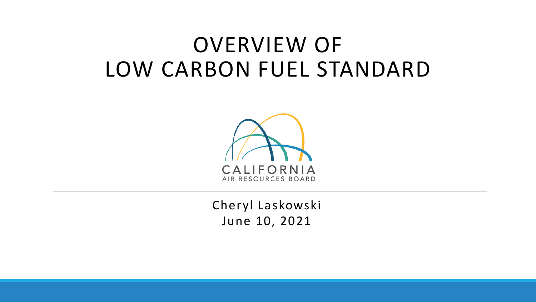# OVERVIEW OF LOW CARBON FUEL STANDARD



Cheryl Laskowski June 10, 2021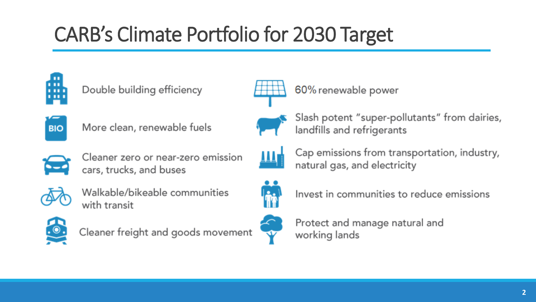# CARB's Climate Portfolio for 2030 Target







More clean, renewable fuels



Cleaner zero or near-zero emission cars, trucks, and buses



Walkable/bikeable communities with transit



Cleaner freight and goods movement



60% renewable power



Slash potent "super-pollutants" from dairies, landfills and refrigerants



Cap emissions from transportation, industry, natural gas, and electricity



Invest in communities to reduce emissions



Protect and manage natural and working lands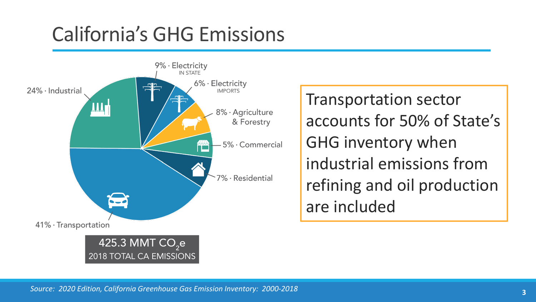# California's GHG Emissions



Transportation sector accounts for 50% of State's GHG inventory when industrial emissions from refining and oil production are included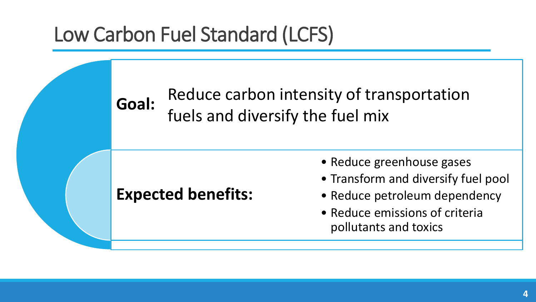# Low Carbon Fuel Standard (LCFS)

#### **Goal:** Reduce carbon intensity of transportation fuels and diversify the fuel mix

### **Expected benefits:**

- Reduce greenhouse gases
- Transform and diversify fuel pool
- Reduce petroleum dependency
- Reduce emissions of criteria pollutants and toxics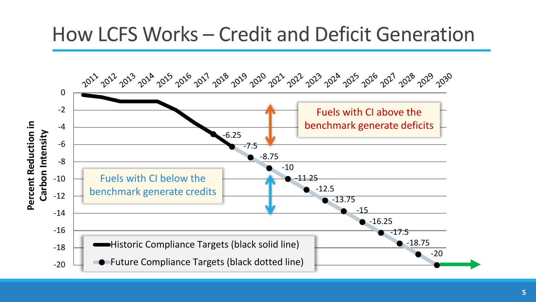## How LCFS Works – Credit and Deficit Generation

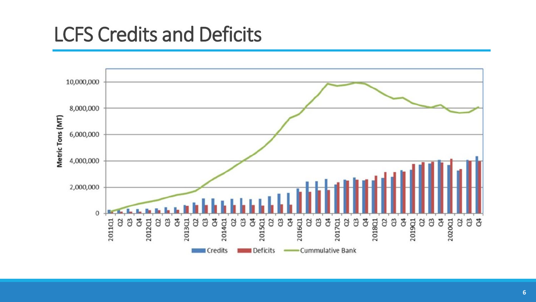## LCFS Credits and Deficits

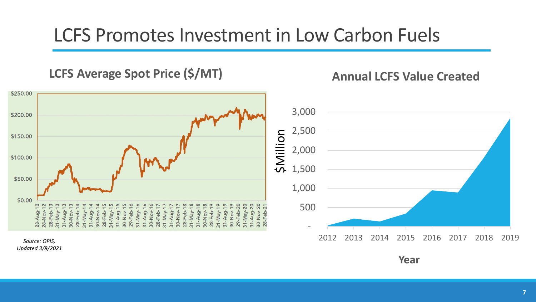### LCFS Promotes Investment in Low Carbon Fuels

**LCFS Average Spot Price (\$/MT)**

**Annual LCFS Value Created**



**Year**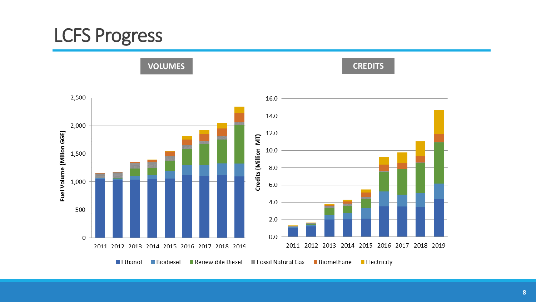## LCFS Progress

**VOLUMES**

**CREDITS**

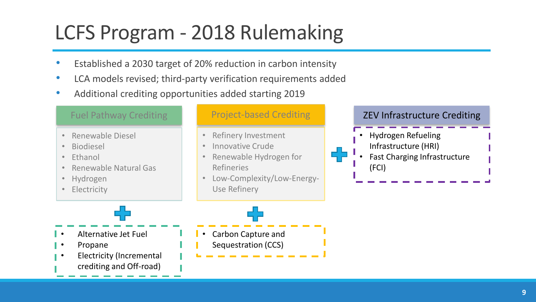# LCFS Program - 2018 Rulemaking

- Established a 2030 target of 20% reduction in carbon intensity
- LCA models revised; third-party verification requirements added
- Additional crediting opportunities added starting 2019